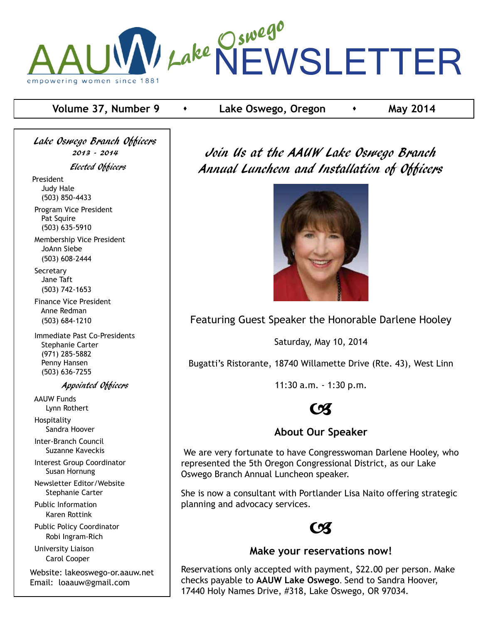

# **Volume 37, Number 9 c i** Lake Oswego, Oregon **c may 2014**

Lake Oswego Branch Officers 2013 - 2014 Elected Officers President Judy Hale (503) 850-4433 Program Vice President Pat Squire (503) 635-5910

 Membership Vice President JoAnn Siebe (503) 608-2444

**Secretary**  Jane Taft (503) 742-1653

 Finance Vice President Anne Redman (503) 684-1210

 Immediate Past Co-Presidents Stephanie Carter (971) 285-5882 Penny Hansen (503) 636-7255

### Appointed Officers

 AAUW Funds Lynn Rothert Hospitality

Sandra Hoover

 Inter-Branch Council Suzanne Kaveckis

 Interest Group Coordinator Susan Hornung

 Newsletter Editor/Website Stephanie Carter

 Public Information Karen Rottink

 Public Policy Coordinator Robi Ingram-Rich

 University Liaison Carol Cooper

Website: lakeoswego-or.aauw.net Email: loaauw@gmail.com

Join Us at the AAUW Lake Oswego Branch Annual Luncheon and Installation of Officers



Featuring Guest Speaker the Honorable Darlene Hooley

Saturday, May 10, 2014

Bugatti's Ristorante, 18740 Willamette Drive (Rte. 43), West Linn

11:30 a.m. - 1:30 p.m.



# **About Our Speaker**

 We are very fortunate to have Congresswoman Darlene Hooley, who represented the 5th Oregon Congressional District, as our Lake Oswego Branch Annual Luncheon speaker.

She is now a consultant with Portlander Lisa Naito offering strategic planning and advocacy services.



# **Make your reservations now!**

Reservations only accepted with payment, \$22.00 per person. Make checks payable to **AAUW Lake Oswego**. Send to Sandra Hoover, 17440 Holy Names Drive, #318, Lake Oswego, OR 97034.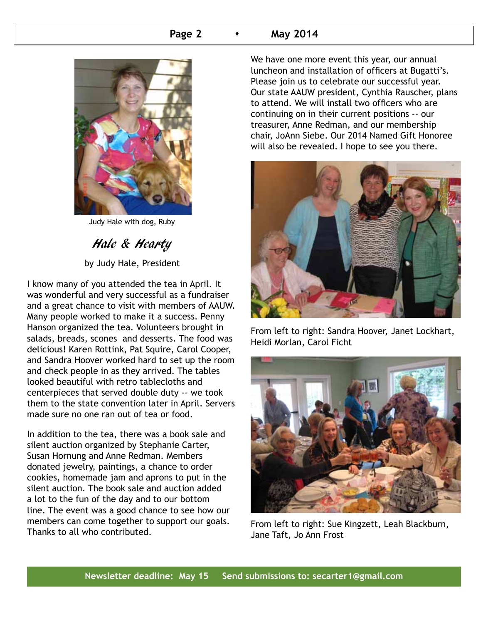# **Page 2 A May 2014**



Judy Hale with dog, Ruby

Hale & Hearty by Judy Hale, President

I know many of you attended the tea in April. It was wonderful and very successful as a fundraiser and a great chance to visit with members of AAUW. Many people worked to make it a success. Penny Hanson organized the tea. Volunteers brought in salads, breads, scones and desserts. The food was delicious! Karen Rottink, Pat Squire, Carol Cooper, and Sandra Hoover worked hard to set up the room and check people in as they arrived. The tables looked beautiful with retro tablecloths and centerpieces that served double duty -- we took them to the state convention later in April. Servers made sure no one ran out of tea or food.

In addition to the tea, there was a book sale and silent auction organized by Stephanie Carter, Susan Hornung and Anne Redman. Members donated jewelry, paintings, a chance to order cookies, homemade jam and aprons to put in the silent auction. The book sale and auction added a lot to the fun of the day and to our bottom line. The event was a good chance to see how our members can come together to support our goals. Thanks to all who contributed.

We have one more event this year, our annual luncheon and installation of officers at Bugatti's. Please join us to celebrate our successful year. Our state AAUW president, Cynthia Rauscher, plans to attend. We will install two officers who are continuing on in their current positions -- our treasurer, Anne Redman, and our membership chair, JoAnn Siebe. Our 2014 Named Gift Honoree will also be revealed. I hope to see you there.



From left to right: Sandra Hoover, Janet Lockhart, Heidi Morlan, Carol Ficht



From left to right: Sue Kingzett, Leah Blackburn, Jane Taft, Jo Ann Frost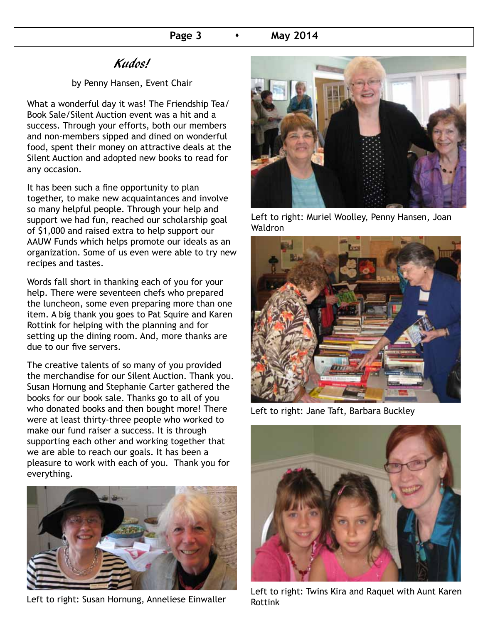# Kudos!

## by Penny Hansen, Event Chair

What a wonderful day it was! The Friendship Tea/ Book Sale/Silent Auction event was a hit and a success. Through your efforts, both our members and non-members sipped and dined on wonderful food, spent their money on attractive deals at the Silent Auction and adopted new books to read for any occasion.

It has been such a fine opportunity to plan together, to make new acquaintances and involve so many helpful people. Through your help and support we had fun, reached our scholarship goal of \$1,000 and raised extra to help support our AAUW Funds which helps promote our ideals as an organization. Some of us even were able to try new recipes and tastes.

Words fall short in thanking each of you for your help. There were seventeen chefs who prepared the luncheon, some even preparing more than one item. A big thank you goes to Pat Squire and Karen Rottink for helping with the planning and for setting up the dining room. And, more thanks are due to our five servers.

The creative talents of so many of you provided the merchandise for our Silent Auction. Thank you. Susan Hornung and Stephanie Carter gathered the books for our book sale. Thanks go to all of you who donated books and then bought more! There were at least thirty-three people who worked to make our fund raiser a success. It is through supporting each other and working together that we are able to reach our goals. It has been a pleasure to work with each of you. Thank you for everything.



Left to right: Susan Hornung, Anneliese Einwaller



Left to right: Muriel Woolley, Penny Hansen, Joan Waldron



Left to right: Jane Taft, Barbara Buckley



Left to right: Twins Kira and Raquel with Aunt Karen Rottink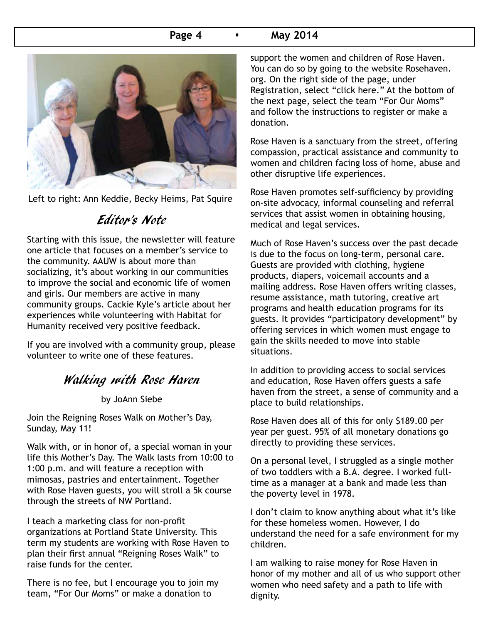# **Page 4 • May 2014**



Left to right: Ann Keddie, Becky Heims, Pat Squire

# Editor's Note

Starting with this issue, the newsletter will feature one article that focuses on a member's service to the community. AAUW is about more than socializing, it's about working in our communities to improve the social and economic life of women and girls. Our members are active in many community groups. Cackie Kyle's article about her experiences while volunteering with Habitat for Humanity received very positive feedback.

If you are involved with a community group, please volunteer to write one of these features.

# Walking with Rose Haven

by JoAnn Siebe

Join the Reigning Roses Walk on Mother's Day, Sunday, May 11!

Walk with, or in honor of, a special woman in your life this Mother's Day. The Walk lasts from 10:00 to 1:00 p.m. and will feature a reception with mimosas, pastries and entertainment. Together with Rose Haven guests, you will stroll a 5k course through the streets of NW Portland.

I teach a marketing class for non-profit organizations at Portland State University. This term my students are working with Rose Haven to plan their first annual "Reigning Roses Walk" to raise funds for the center.

There is no fee, but I encourage you to join my team, "For Our Moms" or make a donation to

support the women and children of Rose Haven. You can do so by going to the website Rosehaven. org. On the right side of the page, under Registration, select "click here." At the bottom of the next page, select the team "For Our Moms" and follow the instructions to register or make a donation.

Rose Haven is a sanctuary from the street, offering compassion, practical assistance and community to women and children facing loss of home, abuse and other disruptive life experiences.

Rose Haven promotes self-sufficiency by providing on-site advocacy, informal counseling and referral services that assist women in obtaining housing, medical and legal services.

Much of Rose Haven's success over the past decade is due to the focus on long-term, personal care. Guests are provided with clothing, hygiene products, diapers, voicemail accounts and a mailing address. Rose Haven offers writing classes, resume assistance, math tutoring, creative art programs and health education programs for its guests. It provides "participatory development" by offering services in which women must engage to gain the skills needed to move into stable situations.

In addition to providing access to social services and education, Rose Haven offers guests a safe haven from the street, a sense of community and a place to build relationships.

Rose Haven does all of this for only \$189.00 per year per guest. 95% of all monetary donations go directly to providing these services.

On a personal level, I struggled as a single mother of two toddlers with a B.A. degree. I worked fulltime as a manager at a bank and made less than the poverty level in 1978.

I don't claim to know anything about what it's like for these homeless women. However, I do understand the need for a safe environment for my children.

I am walking to raise money for Rose Haven in honor of my mother and all of us who support other women who need safety and a path to life with dignity.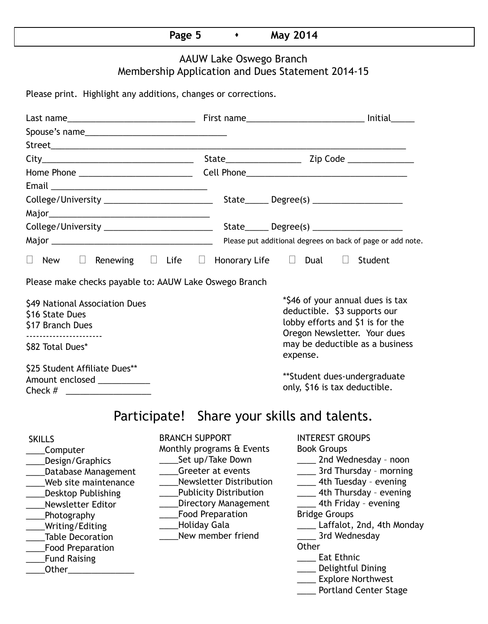# **Page 5 A May 2014**

# AAUW Lake Oswego Branch Membership Application and Dues Statement 2014-15

Please print. Highlight any additions, changes or corrections.

| College/University ____________________________                                                                                                                                                                                                              |                                                                                                                                                                                                                                                                      | $State$ Degree(s) _____________________                                                                                                                                                                                                                                                                                                                                  |  |  |  |  |  |  |  |
|--------------------------------------------------------------------------------------------------------------------------------------------------------------------------------------------------------------------------------------------------------------|----------------------------------------------------------------------------------------------------------------------------------------------------------------------------------------------------------------------------------------------------------------------|--------------------------------------------------------------------------------------------------------------------------------------------------------------------------------------------------------------------------------------------------------------------------------------------------------------------------------------------------------------------------|--|--|--|--|--|--|--|
|                                                                                                                                                                                                                                                              |                                                                                                                                                                                                                                                                      |                                                                                                                                                                                                                                                                                                                                                                          |  |  |  |  |  |  |  |
|                                                                                                                                                                                                                                                              |                                                                                                                                                                                                                                                                      |                                                                                                                                                                                                                                                                                                                                                                          |  |  |  |  |  |  |  |
|                                                                                                                                                                                                                                                              |                                                                                                                                                                                                                                                                      | Please put additional degrees on back of page or add note.                                                                                                                                                                                                                                                                                                               |  |  |  |  |  |  |  |
| $\Box$<br>New                                                                                                                                                                                                                                                | Renewing $\Box$ Life $\Box$ Honorary Life $\Box$ Dual $\Box$                                                                                                                                                                                                         | Student                                                                                                                                                                                                                                                                                                                                                                  |  |  |  |  |  |  |  |
| Please make checks payable to: AAUW Lake Oswego Branch                                                                                                                                                                                                       |                                                                                                                                                                                                                                                                      |                                                                                                                                                                                                                                                                                                                                                                          |  |  |  |  |  |  |  |
| \$49 National Association Dues<br>\$16 State Dues<br>\$17 Branch Dues<br>\$82 Total Dues*                                                                                                                                                                    | *\$46 of your annual dues is tax<br>deductible. \$3 supports our<br>lobby efforts and \$1 is for the<br>Oregon Newsletter. Your dues<br>may be deductible as a business                                                                                              |                                                                                                                                                                                                                                                                                                                                                                          |  |  |  |  |  |  |  |
|                                                                                                                                                                                                                                                              |                                                                                                                                                                                                                                                                      | expense.                                                                                                                                                                                                                                                                                                                                                                 |  |  |  |  |  |  |  |
| \$25 Student Affiliate Dues**<br>Amount enclosed ___________<br>Check # ______________________                                                                                                                                                               |                                                                                                                                                                                                                                                                      | **Student dues-undergraduate<br>only, \$16 is tax deductible.                                                                                                                                                                                                                                                                                                            |  |  |  |  |  |  |  |
| Participate! Share your skills and talents.                                                                                                                                                                                                                  |                                                                                                                                                                                                                                                                      |                                                                                                                                                                                                                                                                                                                                                                          |  |  |  |  |  |  |  |
| <b>SKILLS</b><br>Computer<br>Design/Graphics<br>Database Management<br>Web site maintenance<br><b>Desktop Publishing</b><br>Newsletter Editor<br>Photography<br>Writing/Editing<br><b>Table Decoration</b><br><b>Food Preparation</b><br><b>Fund Raising</b> | <b>BRANCH SUPPORT</b><br>Monthly programs & Events<br>Set up/Take Down<br>Greeter at events<br><b>Newsletter Distribution</b><br><b>Publicity Distribution</b><br><b>Directory Management</b><br><b>Food Preparation</b><br><b>Holiday Gala</b><br>New member friend | <b>INTEREST GROUPS</b><br><b>Book Groups</b><br>_____ 2nd Wednesday - noon<br>3rd Thursday - morning<br>_____ 4th Tuesday - evening<br>4th Thursday - evening<br>___ 4th Friday - evening<br><b>Bridge Groups</b><br>Laffalot, 2nd, 4th Monday<br>3rd Wednesday<br>Other<br><b>Eat Ethnic</b><br>Delightful Dining<br>___ Explore Northwest<br>___ Portland Center Stage |  |  |  |  |  |  |  |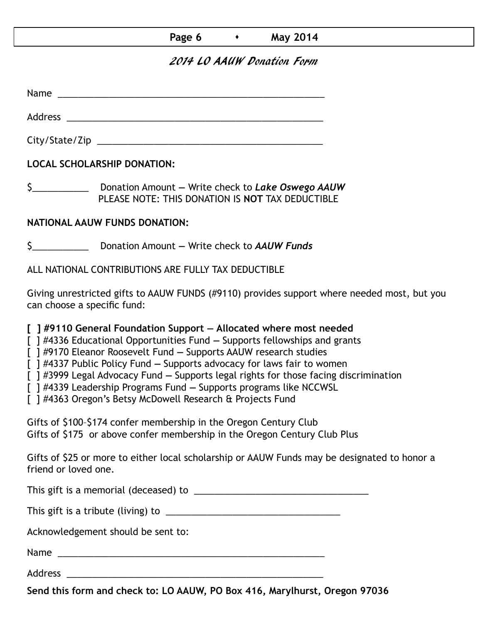# **Page 6**  $\longrightarrow$  **May 2014**

# 2014 LO AAUW Donation Form

Name was also as a set of  $\sim$  10  $\mu$  m  $\sim$  10  $\mu$  m  $\sim$  10  $\mu$  m  $\sim$  10  $\mu$  m  $\sim$  10  $\mu$  m  $\sim$  10  $\mu$  m  $\sim$  10  $\mu$  m  $\sim$  10  $\mu$  m  $\sim$  10  $\mu$  m  $\sim$  10  $\mu$  m  $\sim$  10  $\mu$  m  $\sim$  10  $\mu$  m  $\sim$  10  $\mu$  m

City/State/Zip 2000 and 2000 and 2000 and 2000 and 2000 and 2000 and 2000 and 2000 and 2000 and 200

Address \_\_\_\_\_\_\_\_\_\_\_\_\_\_\_\_\_\_\_\_\_\_\_\_\_\_\_\_\_\_\_\_\_\_\_\_\_\_\_\_\_\_\_\_\_\_\_\_\_\_

**LOCAL SCHOLARSHIP DONATION:**

\$\_\_\_\_\_\_\_\_\_\_\_ Donation Amount **—** Write check to *Lake Oswego AAUW* PLEASE NOTE: THIS DONATION IS **NOT** TAX DEDUCTIBLE

## **NATIONAL AAUW FUNDS DONATION:**

\$\_\_\_\_\_\_\_\_\_\_\_ Donation Amount **—** Write check to *AAUW Funds*

ALL NATIONAL CONTRIBUTIONS ARE FULLY TAX DEDUCTIBLE

Giving unrestricted gifts to AAUW FUNDS (#9110) provides support where needed most, but you can choose a specific fund:

**[ ] #9110 General Foundation Support — Allocated where most needed** 

[ ] #4336 Educational Opportunities Fund **—** Supports fellowships and grants

[ ] #9170 Eleanor Roosevelt Fund **—** Supports AAUW research studies

[ ] #4337 Public Policy Fund **—** Supports advocacy for laws fair to women

[ ] #3999 Legal Advocacy Fund **—** Supports legal rights for those facing discrimination

[ ] #4339 Leadership Programs Fund **—** Supports programs like NCCWSL

[ ] #4363 Oregon's Betsy McDowell Research & Projects Fund

Gifts of \$100–\$174 confer membership in the Oregon Century Club Gifts of \$175 or above confer membership in the Oregon Century Club Plus

Gifts of \$25 or more to either local scholarship or AAUW Funds may be designated to honor a friend or loved one.

This gift is a memorial (deceased) to \_\_\_\_\_\_\_\_\_\_\_\_\_\_\_\_\_\_\_\_\_\_\_\_\_\_\_\_\_\_\_\_\_\_

This gift is a tribute (living) to \_\_\_\_\_\_\_\_\_\_\_\_\_\_\_\_\_\_\_\_\_\_\_\_\_\_\_\_\_\_\_\_\_\_

Acknowledgement should be sent to:

Name \_\_\_\_\_\_\_\_\_\_\_\_\_\_\_\_\_\_\_\_\_\_\_\_\_\_\_\_\_\_\_\_\_\_\_\_\_\_\_\_\_\_\_\_\_\_\_\_\_\_\_\_

Address \_\_\_\_\_\_\_\_\_\_\_\_\_\_\_\_\_\_\_\_\_\_\_\_\_\_\_\_\_\_\_\_\_\_\_\_\_\_\_\_\_\_\_\_\_\_\_\_\_\_

**Send this form and check to: LO AAUW, PO Box 416, Marylhurst, Oregon 97036**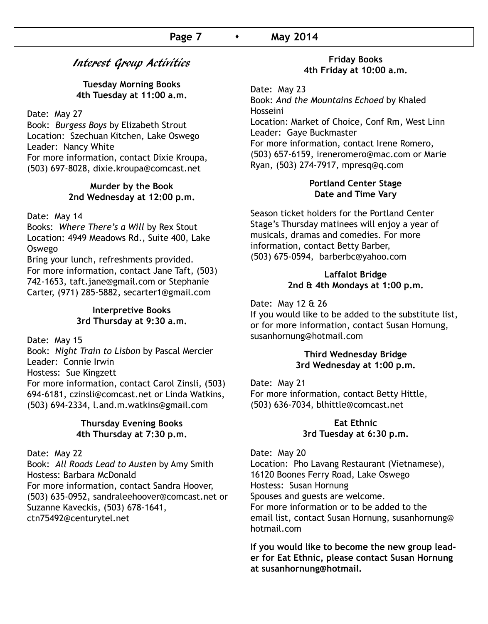# Interest Group Activities

**Tuesday Morning Books 4th Tuesday at 11:00 a.m.**

Date: May 27

Book: *Burgess Boys* by Elizabeth Strout Location: Szechuan Kitchen, Lake Oswego Leader: Nancy White For more information, contact Dixie Kroupa, (503) 697-8028, dixie.kroupa@comcast.net

#### **Murder by the Book 2nd Wednesday at 12:00 p.m.**

Date: May 14

Books: *Where There's a Will* by Rex Stout Location: 4949 Meadows Rd., Suite 400, Lake Oswego

Bring your lunch, refreshments provided. For more information, contact Jane Taft, (503) 742-1653, taft.jane@gmail.com or Stephanie Carter, (971) 285-5882, secarter1@gmail.com

#### **Interpretive Books 3rd Thursday at 9:30 a.m.**

Date: May 15

Book: *Night Train to Lisbon* by Pascal Mercier Leader: Connie Irwin Hostess: Sue Kingzett For more information, contact Carol Zinsli, (503) 694-6181, czinsli@comcast.net or Linda Watkins, (503) 694-2334, l.and.m.watkins@gmail.com

#### **Thursday Evening Books 4th Thursday at 7:30 p.m.**

Date: May 22

Book: *All Roads Lead to Austen* by Amy Smith Hostess: Barbara McDonald For more information, contact Sandra Hoover, (503) 635-0952, sandraleehoover@comcast.net or Suzanne Kaveckis, (503) 678-1641, ctn75492@centurytel.net

#### **Friday Books 4th Friday at 10:00 a.m.**

Date: May 23 Book: *And the Mountains Echoed* by Khaled Hosseini Location: Market of Choice, Conf Rm, West Linn Leader: Gaye Buckmaster For more information, contact Irene Romero, (503) 657-6159, ireneromero@mac.com or Marie Ryan, (503) 274-7917, mpresq@q.com

### **Portland Center Stage Date and Time Vary**

Season ticket holders for the Portland Center Stage's Thursday matinees will enjoy a year of musicals, dramas and comedies. For more information, contact Betty Barber, (503) 675-0594, barberbc@yahoo.com

## **Laffalot Bridge 2nd & 4th Mondays at 1:00 p.m.**

Date: May 12 & 26

If you would like to be added to the substitute list, or for more information, contact Susan Hornung, susanhornung@hotmail.com

#### **Third Wednesday Bridge 3rd Wednesday at 1:00 p.m.**

Date: May 21 For more information, contact Betty Hittle, (503) 636-7034, blhittle@comcast.net

### **Eat Ethnic 3rd Tuesday at 6:30 p.m.**

Date: May 20

Location: Pho Lavang Restaurant (Vietnamese), 16120 Boones Ferry Road, Lake Oswego Hostess: Susan Hornung Spouses and guests are welcome. For more information or to be added to the email list, contact Susan Hornung, susanhornung@ hotmail.com

**If you would like to become the new group leader for Eat Ethnic, please contact Susan Hornung at susanhornung@hotmail.**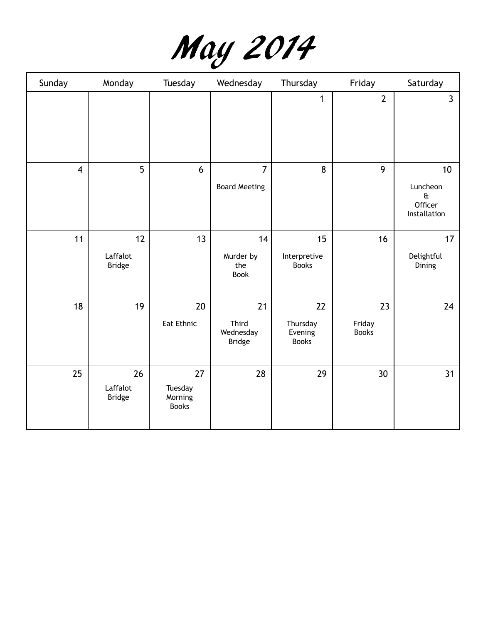

| Sunday         | Monday                          | Tuesday                                  | Wednesday                                 | Thursday                                  | Friday                       | Saturday                                                        |
|----------------|---------------------------------|------------------------------------------|-------------------------------------------|-------------------------------------------|------------------------------|-----------------------------------------------------------------|
|                |                                 |                                          |                                           | 1                                         | $\overline{2}$               | $\overline{3}$                                                  |
| $\overline{4}$ | 5                               | 6                                        | $\overline{7}$<br><b>Board Meeting</b>    | 8                                         | 9                            | 10<br>Luncheon<br>$\mathbf{\hat{a}}$<br>Officer<br>Installation |
| 11             | 12<br>Laffalot<br><b>Bridge</b> | 13                                       | 14<br>Murder by<br>the<br><b>Book</b>     | 15<br>Interpretive<br><b>Books</b>        | 16                           | 17<br>Delightful<br>Dining                                      |
| 18             | 19                              | 20<br>Eat Ethnic                         | 21<br>Third<br>Wednesday<br><b>Bridge</b> | 22<br>Thursday<br>Evening<br><b>Books</b> | 23<br>Friday<br><b>Books</b> | 24                                                              |
| 25             | 26<br>Laffalot<br><b>Bridge</b> | 27<br>Tuesday<br>Morning<br><b>Books</b> | 28                                        | 29                                        | 30                           | 31                                                              |